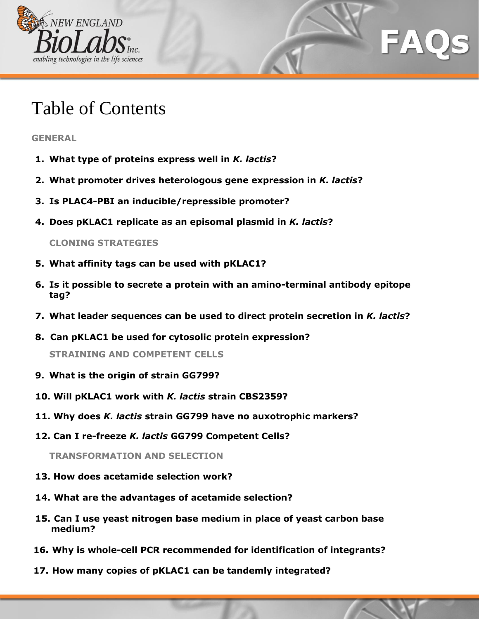

# Table of Contents

**A. GENERAL**

- **1. What type of proteins express well in** *K. lactis***?**
- **2. What promoter drives heterologous gene expression in** *K. lactis***?**
- **3. Is PLAC4-PBI an inducible/repressible promoter?**
- **4. Does pKLAC1 replicate as an episomal plasmid in** *K. lactis***?**

**CLONING STRATEGIES**

- **5. What affinity tags can be used with pKLAC1?**
- **6. Is it possible to secrete a protein with an amino-terminal antibody epitope tag?**

AC

- **7. What leader sequences can be used to direct protein secretion in** *K. lactis***?**
- **8. Can pKLAC1 be used for cytosolic protein expression?**

**STRAINING AND COMPETENT CELLS**

- **9. What is the origin of strain GG799?**
- **10. Will pKLAC1 work with** *K. lactis* **strain CBS2359?**
- **11. Why does** *K. lactis* **strain GG799 have no auxotrophic markers?**
- **12. Can I re-freeze** *K. lactis* **GG799 Competent Cells?**

**TRANSFORMATION AND SELECTION**

- **13. How does acetamide selection work?**
- **14. What are the advantages of acetamide selection?**
- **15. Can I use yeast nitrogen base medium in place of yeast carbon base medium?**
- **16. Why is whole-cell PCR recommended for identification of integrants?**
- **17. How many copies of pKLAC1 can be tandemly integrated?**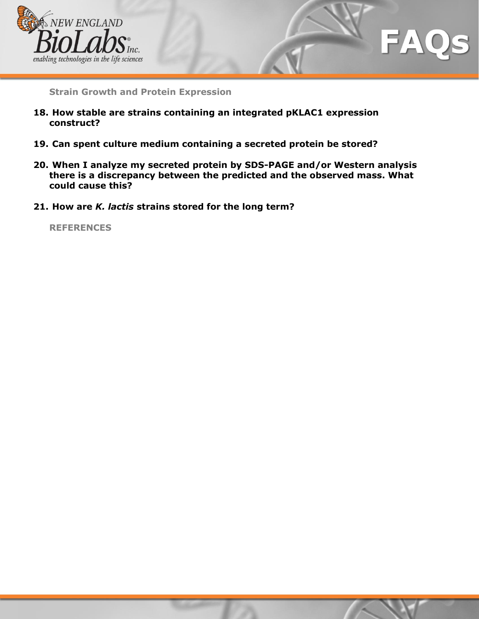

**Strain Growth and Protein Expression**

- **18. How stable are strains containing an integrated pKLAC1 expression construct?**
- **19. Can spent culture medium containing a secreted protein be stored?**
- **20. When I analyze my secreted protein by SDS-PAGE and/or Western analysis there is a discrepancy between the predicted and the observed mass. What could cause this?**
- **21. How are** *K. lactis* **strains stored for the long term?**

**REFERENCES**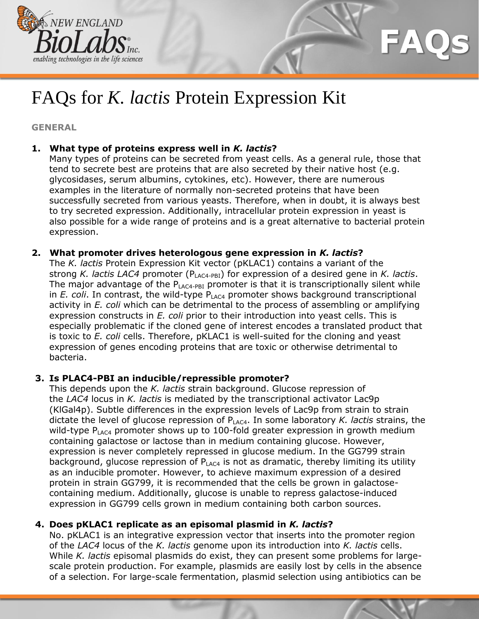

# FAQs for *K. lactis* Protein Expression Kit

**C. GENERAL**

## **E. 1. What type of proteins express well in** *K. lactis***?**

Many types of proteins can be secreted from yeast cells. As a general rule, those that tend to secrete best are proteins that are also secreted by their native host (e.g. glycosidases, serum albumins, cytokines, etc). However, there are numerous examples in the literature of normally non-secreted proteins that have been successfully secreted from various yeasts. Therefore, when in doubt, it is always best to try secreted expression. Additionally, intracellular protein expression in yeast is also possible for a wide range of proteins and is a great alternative to bacterial protein expression.

## **2. What promoter drives heterologous gene expression in** *K. lactis***?**

The *K. lactis* Protein Expression Kit vector (pKLAC1) contains a variant of the strong *K. lactis LAC4* promoter (PLAC4-PBI) for expression of a desired gene in *K. lactis*. The major advantage of the  $P_{LAC4-PBI}$  promoter is that it is transcriptionally silent while in  $E$ . coli. In contrast, the wild-type  $P_{LAC4}$  promoter shows background transcriptional activity in *E. coli* which can be detrimental to the process of assembling or amplifying expression constructs in *E. coli* prior to their introduction into yeast cells. This is especially problematic if the cloned gene of interest encodes a translated product that is toxic to *E. coli* cells. Therefore, pKLAC1 is well-suited for the cloning and yeast expression of genes encoding proteins that are toxic or otherwise detrimental to bacteria.

## **3. Is PLAC4-PBI an inducible/repressible promoter?**

This depends upon the *K. lactis* strain background. Glucose repression of the *LAC4* locus in *K. lactis* is mediated by the transcriptional activator Lac9p (KlGal4p). Subtle differences in the expression levels of Lac9p from strain to strain dictate the level of glucose repression of P<sub>LAC4</sub>. In some laboratory *K. lactis* strains, the wild-type  $P_{LAC4}$  promoter shows up to 100-fold greater expression in growth medium containing galactose or lactose than in medium containing glucose. However, expression is never completely repressed in glucose medium. In the GG799 strain background, glucose repression of  $P_{LAC4}$  is not as dramatic, thereby limiting its utility as an inducible promoter. However, to achieve maximum expression of a desired protein in strain GG799, it is recommended that the cells be grown in galactosecontaining medium. Additionally, glucose is unable to repress galactose-induced expression in GG799 cells grown in medium containing both carbon sources.

## **4. Does pKLAC1 replicate as an episomal plasmid in** *K. lactis***?**

No. pKLAC1 is an integrative expression vector that inserts into the promoter region of the *LAC4* locus of the *K. lactis* genome upon its introduction into *K. lactis* cells. While *K. lactis* episomal plasmids do exist, they can present some problems for largescale protein production. For example, plasmids are easily lost by cells in the absence of a selection. For large-scale fermentation, plasmid selection using antibiotics can be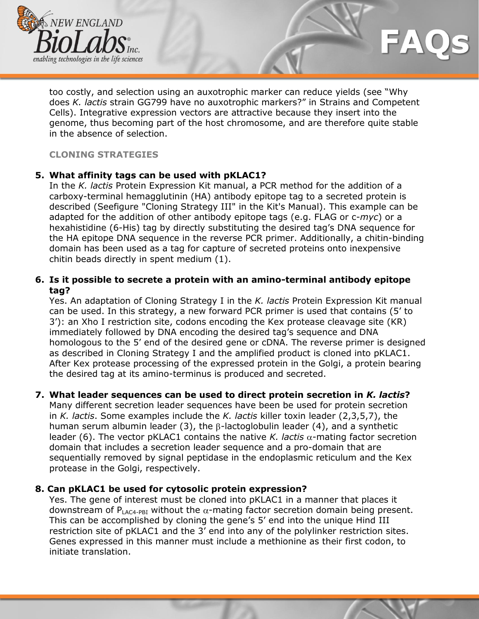

too costly, and selection using an auxotrophic marker can reduce yields (see "Why does *K. lactis* strain GG799 have no auxotrophic markers?" in Strains and Competent Cells). Integrative expression vectors are attractive because they insert into the genome, thus becoming part of the host chromosome, and are therefore quite stable in the absence of selection.

#### **CLONING STRATEGIES**

#### **5. What affinity tags can be used with pKLAC1?**

In the *K. lactis* Protein Expression Kit manual, a PCR method for the addition of a carboxy-terminal hemagglutinin (HA) antibody epitope tag to a secreted protein is described (Seefigure "Cloning Strategy III" in the Kit's Manual). This example can be adapted for the addition of other antibody epitope tags (e.g. FLAG or c-*myc*) or a hexahistidine (6-His) tag by directly substituting the desired tag's DNA sequence for the HA epitope DNA sequence in the reverse PCR primer. Additionally, a chitin-binding domain has been used as a tag for capture of secreted proteins onto inexpensive chitin beads directly in spent medium (1).

#### **6. Is it possible to secrete a protein with an amino-terminal antibody epitope tag?**

Yes. An adaptation of Cloning Strategy I in the *K. lactis* Protein Expression Kit manual can be used. In this strategy, a new forward PCR primer is used that contains (5' to 3'): an Xho I restriction site, codons encoding the Kex protease cleavage site (KR) immediately followed by DNA encoding the desired tag's sequence and DNA homologous to the 5' end of the desired gene or cDNA. The reverse primer is designed as described in Cloning Strategy I and the amplified product is cloned into pKLAC1. After Kex protease processing of the expressed protein in the Golgi, a protein bearing the desired tag at its amino-terminus is produced and secreted.

## **7. What leader sequences can be used to direct protein secretion in** *K. lactis***?**

Many different secretion leader sequences have been be used for protein secretion in *K. lactis*. Some examples include the *K. lactis* killer toxin leader (2,3,5,7), the human serum albumin leader (3), the  $\beta$ -lactoglobulin leader (4), and a synthetic leader (6). The vector pKLAC1 contains the native *K. lactis*  $\alpha$ -mating factor secretion domain that includes a secretion leader sequence and a pro-domain that are sequentially removed by signal peptidase in the endoplasmic reticulum and the Kex protease in the Golgi, respectively.

#### **8. Can pKLAC1 be used for cytosolic protein expression?**

Yes. The gene of interest must be cloned into pKLAC1 in a manner that places it downstream of  $P_{LAC4-PBI}$  without the  $\alpha$ -mating factor secretion domain being present. This can be accomplished by cloning the gene's 5' end into the unique Hind III restriction site of pKLAC1 and the 3' end into any of the polylinker restriction sites. Genes expressed in this manner must include a methionine as their first codon, to initiate translation.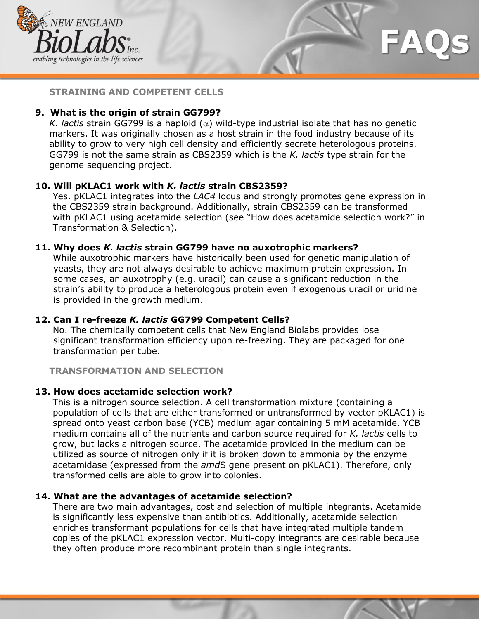

**STRAINING AND COMPETENT CELLS**

## **9. What is the origin of strain GG799?**

*K. lactis* strain GG799 is a haploid  $(\alpha)$  wild-type industrial isolate that has no genetic markers. It was originally chosen as a host strain in the food industry because of its ability to grow to very high cell density and efficiently secrete heterologous proteins. GG799 is not the same strain as CBS2359 which is the *K. lactis* type strain for the genome sequencing project.

## **10. Will pKLAC1 work with** *K. lactis* **strain CBS2359?**

Yes. pKLAC1 integrates into the *LAC4* locus and strongly promotes gene expression in the CBS2359 strain background. Additionally, strain CBS2359 can be transformed with pKLAC1 using acetamide selection (see "How does acetamide selection work?" in Transformation & Selection).

## **11. Why does** *K. lactis* **strain GG799 have no auxotrophic markers?**

While auxotrophic markers have historically been used for genetic manipulation of yeasts, they are not always desirable to achieve maximum protein expression. In some cases, an auxotrophy (e.g. uracil) can cause a significant reduction in the strain's ability to produce a heterologous protein even if exogenous uracil or uridine is provided in the growth medium.

## **12. Can I re-freeze** *K. lactis* **GG799 Competent Cells?**

No. The chemically competent cells that New England Biolabs provides lose significant transformation efficiency upon re-freezing. They are packaged for one transformation per tube.

**TRANSFORMATION AND SELECTION**

## **13. How does acetamide selection work?**

This is a nitrogen source selection. A cell transformation mixture (containing a population of cells that are either transformed or untransformed by vector pKLAC1) is spread onto yeast carbon base (YCB) medium agar containing 5 mM acetamide. YCB medium contains all of the nutrients and carbon source required for *K. lactis* cells to grow, but lacks a nitrogen source. The acetamide provided in the medium can be utilized as source of nitrogen only if it is broken down to ammonia by the enzyme acetamidase (expressed from the *amd*S gene present on pKLAC1). Therefore, only transformed cells are able to grow into colonies.

## **14. What are the advantages of acetamide selection?**

There are two main advantages, cost and selection of multiple integrants. Acetamide is significantly less expensive than antibiotics. Additionally, acetamide selection enriches transformant populations for cells that have integrated multiple tandem copies of the pKLAC1 expression vector. Multi-copy integrants are desirable because they often produce more recombinant protein than single integrants.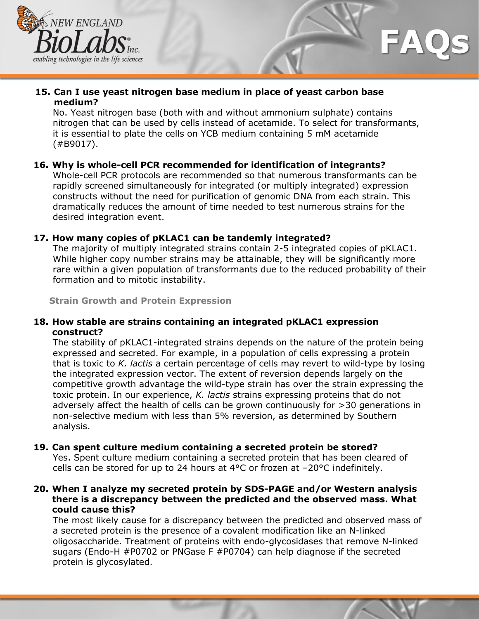

## **15. Can I use yeast nitrogen base medium in place of yeast carbon base medium?**

No. Yeast nitrogen base (both with and without ammonium sulphate) contains nitrogen that can be used by cells instead of acetamide. To select for transformants, it is essential to plate the cells on YCB medium containing 5 mM acetamide (#B9017).

## **16. Why is whole-cell PCR recommended for identification of integrants?**

Whole-cell PCR protocols are recommended so that numerous transformants can be rapidly screened simultaneously for integrated (or multiply integrated) expression constructs without the need for purification of genomic DNA from each strain. This dramatically reduces the amount of time needed to test numerous strains for the desired integration event.

#### **17. How many copies of pKLAC1 can be tandemly integrated?**

The majority of multiply integrated strains contain 2-5 integrated copies of pKLAC1. While higher copy number strains may be attainable, they will be significantly more rare within a given population of transformants due to the reduced probability of their formation and to mitotic instability.

**Strain Growth and Protein Expression**

#### **18. How stable are strains containing an integrated pKLAC1 expression construct?**

The stability of pKLAC1-integrated strains depends on the nature of the protein being expressed and secreted. For example, in a population of cells expressing a protein that is toxic to *K. lactis* a certain percentage of cells may revert to wild-type by losing the integrated expression vector. The extent of reversion depends largely on the competitive growth advantage the wild-type strain has over the strain expressing the toxic protein. In our experience, *K. lactis* strains expressing proteins that do not adversely affect the health of cells can be grown continuously for >30 generations in non-selective medium with less than 5% reversion, as determined by Southern analysis.

## **19. Can spent culture medium containing a secreted protein be stored?**

Yes. Spent culture medium containing a secreted protein that has been cleared of cells can be stored for up to 24 hours at  $4^{\circ}$ C or frozen at  $-20^{\circ}$ C indefinitely.

#### **20. When I analyze my secreted protein by SDS-PAGE and/or Western analysis there is a discrepancy between the predicted and the observed mass. What could cause this?**

The most likely cause for a discrepancy between the predicted and observed mass of a secreted protein is the presence of a covalent modification like an N-linked oligosaccharide. Treatment of proteins with endo-glycosidases that remove N-linked sugars (Endo-H #P0702 or PNGase F #P0704) can help diagnose if the secreted protein is glycosylated.